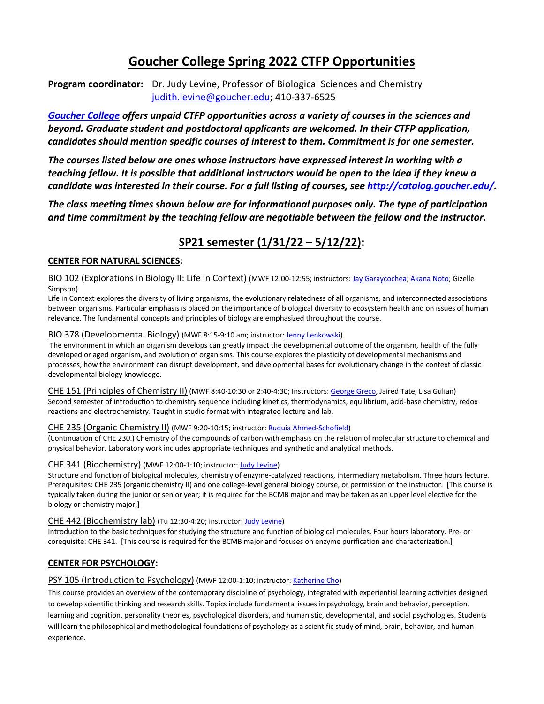# **Goucher College Spring 2022 CTFP Opportunities**

**Program coordinator:** Dr. Judy Levine, Professor of Biological Sciences and Chemistry judith.levine@goucher.edu; 410-337-6525

*Goucher College offers unpaid CTFP opportunities across a variety of courses in the sciences and beyond. Graduate student and postdoctoral applicants are welcomed. In their CTFP application, candidates should mention specific courses of interest to them. Commitment is for one semester.*

*The courses listed below are ones whose instructors have expressed interest in working with a teaching fellow. It is possible that additional instructors would be open to the idea if they knew a candidate was interested in their course. For a full listing of courses, see http://catalog.goucher.edu/.*

*The class meeting times shown below are for informational purposes only. The type of participation and time commitment by the teaching fellow are negotiable between the fellow and the instructor.* 

## **SP21 semester (1/31/22 – 5/12/22):**

## **CENTER FOR NATURAL SCIENCES:**

BIO 102 (Explorations in Biology II: Life in Context) (MWF 12:00-12:55; instructors: Jay Garaycochea; Akana Noto; Gizelle Simpson)

Life in Context explores the diversity of living organisms, the evolutionary relatedness of all organisms, and interconnected associations between organisms. Particular emphasis is placed on the importance of biological diversity to ecosystem health and on issues of human relevance. The fundamental concepts and principles of biology are emphasized throughout the course.

#### BIO 378 (Developmental Biology) (MWF 8:15-9:10 am; instructor: Jenny Lenkowski)

The environment in which an organism develops can greatly impact the developmental outcome of the organism, health of the fully developed or aged organism, and evolution of organisms. This course explores the plasticity of developmental mechanisms and processes, how the environment can disrupt development, and developmental bases for evolutionary change in the context of classic developmental biology knowledge.

CHE 151 (Principles of Chemistry II) (MWF 8:40-10:30 or 2:40-4:30; Instructors: George Greco, Jaired Tate, Lisa Gulian) Second semester of introduction to chemistry sequence including kinetics, thermodynamics, equilibrium, acid-base chemistry, redox reactions and electrochemistry. Taught in studio format with integrated lecture and lab.

## CHE 235 (Organic Chemistry II) (MWF 9:20-10:15; instructor: Ruquia Ahmed-Schofield)

(Continuation of CHE 230.) Chemistry of the compounds of carbon with emphasis on the relation of molecular structure to chemical and physical behavior. Laboratory work includes appropriate techniques and synthetic and analytical methods.

## CHE 341 (Biochemistry) (MWF 12:00-1:10; instructor: Judy Levine)

Structure and function of biological molecules, chemistry of enzyme-catalyzed reactions, intermediary metabolism. Three hours lecture. Prerequisites: CHE 235 (organic chemistry II) and one college-level general biology course, or permission of the instructor. [This course is typically taken during the junior or senior year; it is required for the BCMB major and may be taken as an upper level elective for the biology or chemistry major.]

#### CHE 442 (Biochemistry lab) (Tu 12:30-4:20; instructor: Judy Levine)

Introduction to the basic techniques for studying the structure and function of biological molecules. Four hours laboratory. Pre- or corequisite: CHE 341. [This course is required for the BCMB major and focuses on enzyme purification and characterization.]

## **CENTER FOR PSYCHOLOGY:**

#### PSY 105 (Introduction to Psychology) (MWF 12:00-1:10; instructor: Katherine Cho)

This course provides an overview of the contemporary discipline of psychology, integrated with experiential learning activities designed to develop scientific thinking and research skills. Topics include fundamental issues in psychology, brain and behavior, perception, learning and cognition, personality theories, psychological disorders, and humanistic, developmental, and social psychologies. Students will learn the philosophical and methodological foundations of psychology as a scientific study of mind, brain, behavior, and human experience.